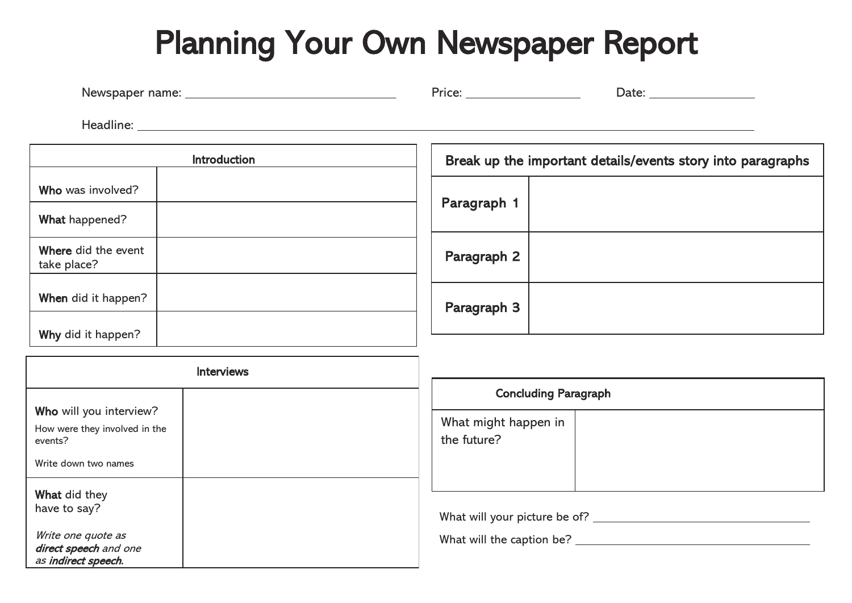## Planning Your Own Newspaper Report

| Newspaper name: | -rice. | Date: |
|-----------------|--------|-------|
|                 |        |       |

Headline:

|                                    | <b>Introduction</b> |  |
|------------------------------------|---------------------|--|
| Who was involved?                  |                     |  |
| What happened?                     |                     |  |
| Where did the event<br>take place? |                     |  |
| When did it happen?                |                     |  |
| Why did it happen?                 |                     |  |

| Break up the important details/events story into paragraphs |  |  |
|-------------------------------------------------------------|--|--|
| Paragraph 1                                                 |  |  |
| Paragraph 2                                                 |  |  |
| Paragraph 3                                                 |  |  |

| <b>Interviews</b>                                                  |  |  |
|--------------------------------------------------------------------|--|--|
| Who will you interview?                                            |  |  |
| How were they involved in the<br>events?                           |  |  |
| Write down two names                                               |  |  |
| What did they                                                      |  |  |
| have to say?                                                       |  |  |
| Write one quote as<br>direct speech and one<br>as indirect speech. |  |  |

| <b>Concluding Paragraph</b>         |  |
|-------------------------------------|--|
| What might happen in<br>the future? |  |
|                                     |  |

What will your picture be of?

What will the caption be? <u>contained</u> the contained by the contained by the contained by the contained by the contained by the contained by the contained by the contained by the contained by the contained by the contained